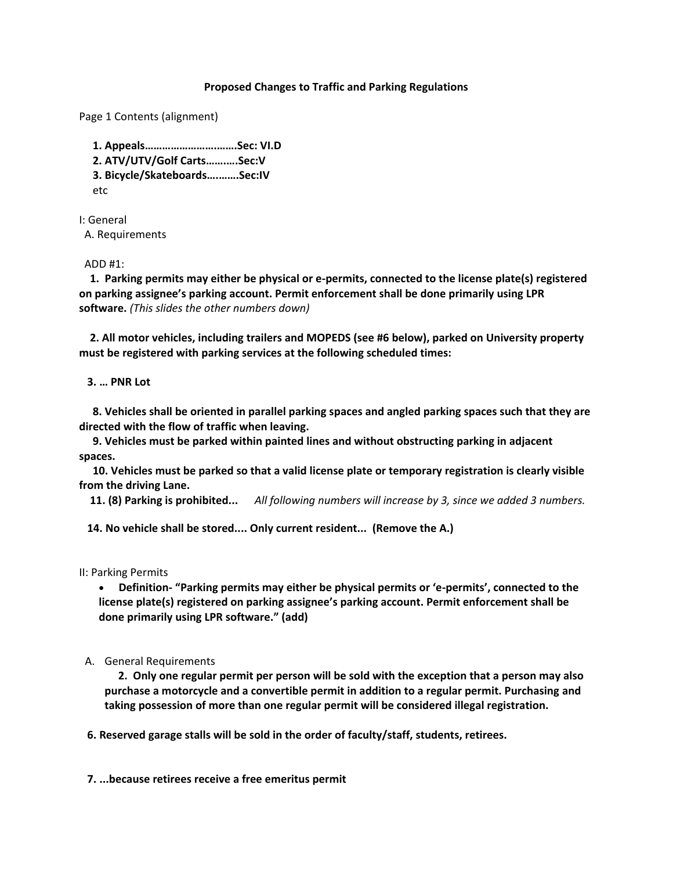### **Proposed Changes to Traffic and Parking Regulations**

Page 1 Contents (alignment)

 **1. Appeals…………………….…….Sec: VI.D 2. ATV/UTV/Golf Carts…….….Sec:V 3. Bicycle/Skateboards….…….Sec:IV** etc

I: General A. Requirements

#### ADD #1:

 **1. Parking permits may either be physical or e-permits, connected to the license plate(s) registered on parking assignee's parking account. Permit enforcement shall be done primarily using LPR software.** *(This slides the other numbers down)*

 **2. All motor vehicles, including trailers and MOPEDS (see #6 below), parked on University property must be registered with parking services at the following scheduled times:**

### **3. … PNR Lot**

 **8. Vehicles shall be oriented in parallel parking spaces and angled parking spaces such that they are directed with the flow of traffic when leaving.**

 **9. Vehicles must be parked within painted lines and without obstructing parking in adjacent spaces.**

 **10. Vehicles must be parked so that a valid license plate or temporary registration is clearly visible from the driving Lane.**

 **11. (8) Parking is prohibited...** *All following numbers will increase by 3, since we added 3 numbers.*

**14. No vehicle shall be stored.... Only current resident... (Remove the A.)**

II: Parking Permits

 **Definition- "Parking permits may either be physical permits or 'e-permits', connected to the license plate(s) registered on parking assignee's parking account. Permit enforcement shall be done primarily using LPR software." (add)**

### A. General Requirements

 **2. Only one regular permit per person will be sold with the exception that a person may also purchase a motorcycle and a convertible permit in addition to a regular permit. Purchasing and taking possession of more than one regular permit will be considered illegal registration.**

 **6. Reserved garage stalls will be sold in the order of faculty/staff, students, retirees.**

**7. ...because retirees receive a free emeritus permit**